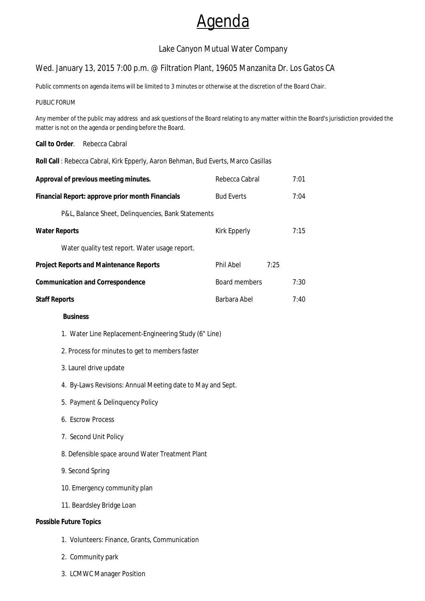# Agenda

# Lake Canyon Mutual Water Company

## Wed. January 13, 2015 7:00 p.m. @ Filtration Plant, 19605 Manzanita Dr. Los Gatos CA

Public comments on agenda items will be limited to 3 minutes or otherwise at the discretion of the Board Chair.

#### PUBLIC FORUM

Any member of the public may address and ask questions of the Board relating to any matter within the Board's jurisdiction provided the matter is not on the agenda or pending before the Board.

#### **Call to Order**. Rebecca Cabral

**Roll Call** : Rebecca Cabral, Kirk Epperly, Aaron Behman, Bud Everts, Marco Casillas

| Approval of previous meeting minutes.            |                                                            | Rebecca Cabral    |      | 7:01 |
|--------------------------------------------------|------------------------------------------------------------|-------------------|------|------|
| Financial Report: approve prior month Financials |                                                            | <b>Bud Everts</b> |      | 7:04 |
|                                                  | P&L, Balance Sheet, Delinquencies, Bank Statements         |                   |      |      |
| <b>Water Reports</b>                             |                                                            | Kirk Epperly      |      | 7:15 |
|                                                  | Water quality test report. Water usage report.             |                   |      |      |
| <b>Project Reports and Maintenance Reports</b>   |                                                            | Phil Abel         | 7:25 |      |
| <b>Communication and Correspondence</b>          |                                                            | Board members     |      | 7:30 |
| <b>Staff Reports</b>                             |                                                            | Barbara Abel      |      | 7:40 |
|                                                  | <b>Business</b>                                            |                   |      |      |
|                                                  | 1. Water Line Replacement-Engineering Study (6" Line)      |                   |      |      |
|                                                  | 2. Process for minutes to get to members faster            |                   |      |      |
|                                                  | 3. Laurel drive update                                     |                   |      |      |
|                                                  | 4. By-Laws Revisions: Annual Meeting date to May and Sept. |                   |      |      |
|                                                  | 5. Payment & Delinquency Policy                            |                   |      |      |

- 6. Escrow Process
- 7. Second Unit Policy
- 8. Defensible space around Water Treatment Plant

## 9. Second Spring

- 10. Emergency community plan
- 11. Beardsley Bridge Loan

## **Possible Future Topics**

- 1. Volunteers: Finance, Grants, Communication
- 2. Community park
- 3. LCMWC Manager Position